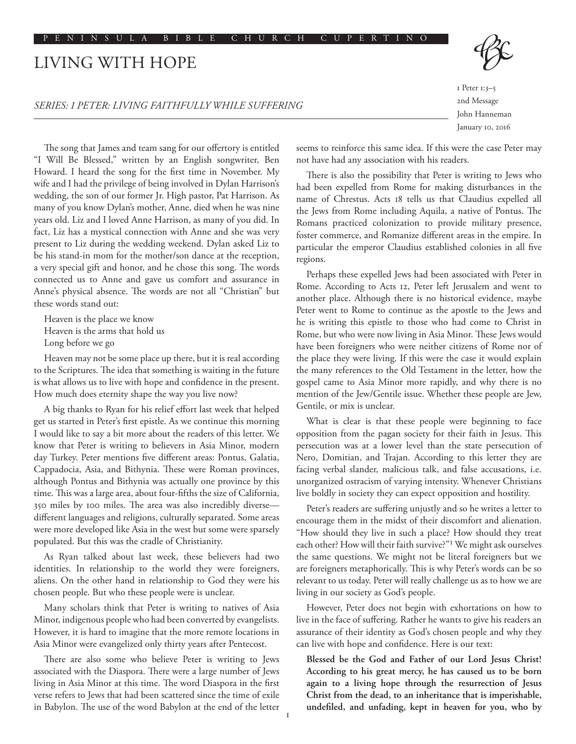# LIVING WITH HOPE

*SERIES: 1 PETER: LIVING FAITHFULLY WHILE SUFFERING*

1 Peter 1:3–5 2nd Message John Hanneman January 10, 2016

The song that James and team sang for our offertory is entitled "I Will Be Blessed," written by an English songwriter, Ben Howard. I heard the song for the first time in November. My wife and I had the privilege of being involved in Dylan Harrison's wedding, the son of our former Jr. High pastor, Pat Harrison. As many of you know Dylan's mother, Anne, died when he was nine years old. Liz and I loved Anne Harrison, as many of you did. In fact, Liz has a mystical connection with Anne and she was very present to Liz during the wedding weekend. Dylan asked Liz to be his stand-in mom for the mother/son dance at the reception, a very special gift and honor, and he chose this song. The words connected us to Anne and gave us comfort and assurance in Anne's physical absence. The words are not all "Christian" but these words stand out:

Heaven is the place we know Heaven is the arms that hold us Long before we go

Heaven may not be some place up there, but it is real according to the Scriptures. The idea that something is waiting in the future is what allows us to live with hope and confidence in the present. How much does eternity shape the way you live now?

A big thanks to Ryan for his relief effort last week that helped get us started in Peter's first epistle. As we continue this morning I would like to say a bit more about the readers of this letter. We know that Peter is writing to believers in Asia Minor, modern day Turkey. Peter mentions five different areas: Pontus, Galatia, Cappadocia, Asia, and Bithynia. These were Roman provinces, although Pontus and Bithynia was actually one province by this time. This was a large area, about four-fifths the size of California, 350 miles by 100 miles. The area was also incredibly diverse different languages and religions, culturally separated. Some areas were more developed like Asia in the west but some were sparsely populated. But this was the cradle of Christianity.

As Ryan talked about last week, these believers had two identities. In relationship to the world they were foreigners, aliens. On the other hand in relationship to God they were his chosen people. But who these people were is unclear.

Many scholars think that Peter is writing to natives of Asia Minor, indigenous people who had been converted by evangelists. However, it is hard to imagine that the more remote locations in Asia Minor were evangelized only thirty years after Pentecost.

There are also some who believe Peter is writing to Jews associated with the Diaspora. There were a large number of Jews living in Asia Minor at this time. The word Diaspora in the first verse refers to Jews that had been scattered since the time of exile in Babylon. The use of the word Babylon at the end of the letter seems to reinforce this same idea. If this were the case Peter may not have had any association with his readers.

There is also the possibility that Peter is writing to Jews who had been expelled from Rome for making disturbances in the name of Chrestus. Acts 18 tells us that Claudius expelled all the Jews from Rome including Aquila, a native of Pontus. The Romans practiced colonization to provide military presence, foster commerce, and Romanize different areas in the empire. In particular the emperor Claudius established colonies in all five regions.

Perhaps these expelled Jews had been associated with Peter in Rome. According to Acts 12, Peter left Jerusalem and went to another place. Although there is no historical evidence, maybe Peter went to Rome to continue as the apostle to the Jews and he is writing this epistle to those who had come to Christ in Rome, but who were now living in Asia Minor. These Jews would have been foreigners who were neither citizens of Rome nor of the place they were living. If this were the case it would explain the many references to the Old Testament in the letter, how the gospel came to Asia Minor more rapidly, and why there is no mention of the Jew/Gentile issue. Whether these people are Jew, Gentile, or mix is unclear.

What is clear is that these people were beginning to face opposition from the pagan society for their faith in Jesus. This persecution was at a lower level than the state persecution of Nero, Domitian, and Trajan. According to this letter they are facing verbal slander, malicious talk, and false accusations, i.e. unorganized ostracism of varying intensity. Whenever Christians live boldly in society they can expect opposition and hostility.

Peter's readers are suffering unjustly and so he writes a letter to encourage them in the midst of their discomfort and alienation. "How should they live in such a place? How should they treat each other? How will their faith survive?"1 We might ask ourselves the same questions. We might not be literal foreigners but we are foreigners metaphorically. This is why Peter's words can be so relevant to us today. Peter will really challenge us as to how we are living in our society as God's people.

However, Peter does not begin with exhortations on how to live in the face of suffering. Rather he wants to give his readers an assurance of their identity as God's chosen people and why they can live with hope and confidence. Here is our text:

**Blessed be the God and Father of our Lord Jesus Christ! According to his great mercy, he has caused us to be born again to a living hope through the resurrection of Jesus Christ from the dead, to an inheritance that is imperishable, undefiled, and unfading, kept in heaven for you, who by**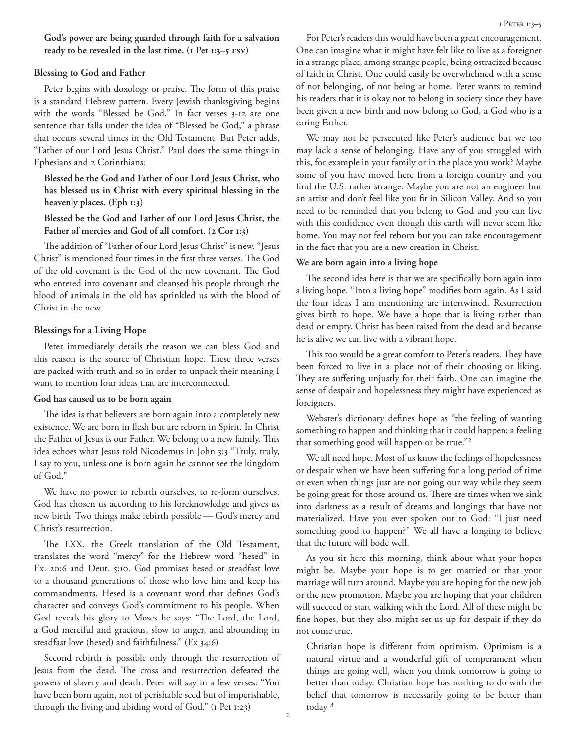**God's power are being guarded through faith for a salvation ready to be revealed in the last time. (1 Pet 1:3–5 ESV)**

# **Blessing to God and Father**

Peter begins with doxology or praise. The form of this praise is a standard Hebrew pattern. Every Jewish thanksgiving begins with the words "Blessed be God." In fact verses 3-12 are one sentence that falls under the idea of "Blessed be God," a phrase that occurs several times in the Old Testament. But Peter adds, "Father of our Lord Jesus Christ." Paul does the same things in Ephesians and 2 Corinthians:

**Blessed be the God and Father of our Lord Jesus Christ, who has blessed us in Christ with every spiritual blessing in the heavenly places. (Eph 1:3)**

**Blessed be the God and Father of our Lord Jesus Christ, the Father of mercies and God of all comfort. (2 Cor 1:3)**

The addition of "Father of our Lord Jesus Christ" is new. "Jesus Christ" is mentioned four times in the first three verses. The God of the old covenant is the God of the new covenant. The God who entered into covenant and cleansed his people through the blood of animals in the old has sprinkled us with the blood of Christ in the new.

# **Blessings for a Living Hope**

Peter immediately details the reason we can bless God and this reason is the source of Christian hope. These three verses are packed with truth and so in order to unpack their meaning I want to mention four ideas that are interconnected.

### **God has caused us to be born again**

The idea is that believers are born again into a completely new existence. We are born in flesh but are reborn in Spirit. In Christ the Father of Jesus is our Father. We belong to a new family. This idea echoes what Jesus told Nicodemus in John 3:3 "Truly, truly, I say to you, unless one is born again he cannot see the kingdom of God."

We have no power to rebirth ourselves, to re-form ourselves. God has chosen us according to his foreknowledge and gives us new birth. Two things make rebirth possible — God's mercy and Christ's resurrection.

The LXX, the Greek translation of the Old Testament, translates the word "mercy" for the Hebrew word "hesed" in Ex. 20:6 and Deut. 5:10. God promises hesed or steadfast love to a thousand generations of those who love him and keep his commandments. Hesed is a covenant word that defines God's character and conveys God's commitment to his people. When God reveals his glory to Moses he says: "The Lord, the Lord, a God merciful and gracious, slow to anger, and abounding in steadfast love (hesed) and faithfulness." (Ex 34:6)

Second rebirth is possible only through the resurrection of Jesus from the dead. The cross and resurrection defeated the powers of slavery and death. Peter will say in a few verses: "You have been born again, not of perishable seed but of imperishable, through the living and abiding word of God." (I Pet 1:23)

For Peter's readers this would have been a great encouragement. One can imagine what it might have felt like to live as a foreigner in a strange place, among strange people, being ostracized because of faith in Christ. One could easily be overwhelmed with a sense of not belonging, of not being at home. Peter wants to remind his readers that it is okay not to belong in society since they have been given a new birth and now belong to God, a God who is a caring Father.

We may not be persecuted like Peter's audience but we too may lack a sense of belonging. Have any of you struggled with this, for example in your family or in the place you work? Maybe some of you have moved here from a foreign country and you find the U.S. rather strange. Maybe you are not an engineer but an artist and don't feel like you fit in Silicon Valley. And so you need to be reminded that you belong to God and you can live with this confidence even though this earth will never seem like home. You may not feel reborn but you can take encouragement in the fact that you are a new creation in Christ.

# **We are born again into a living hope**

The second idea here is that we are specifically born again into a living hope. "Into a living hope" modifies born again. As I said the four ideas I am mentioning are intertwined. Resurrection gives birth to hope. We have a hope that is living rather than dead or empty. Christ has been raised from the dead and because he is alive we can live with a vibrant hope.

This too would be a great comfort to Peter's readers. They have been forced to live in a place not of their choosing or liking. They are suffering unjustly for their faith. One can imagine the sense of despair and hopelessness they might have experienced as foreigners.

Webster's dictionary defines hope as "the feeling of wanting something to happen and thinking that it could happen; a feeling that something good will happen or be true."2

We all need hope. Most of us know the feelings of hopelessness or despair when we have been suffering for a long period of time or even when things just are not going our way while they seem be going great for those around us. There are times when we sink into darkness as a result of dreams and longings that have not materialized. Have you ever spoken out to God: "I just need something good to happen?" We all have a longing to believe that the future will bode well.

As you sit here this morning, think about what your hopes might be. Maybe your hope is to get married or that your marriage will turn around. Maybe you are hoping for the new job or the new promotion. Maybe you are hoping that your children will succeed or start walking with the Lord. All of these might be fine hopes, but they also might set us up for despair if they do not come true.

Christian hope is different from optimism. Optimism is a natural virtue and a wonderful gift of temperament when things are going well, when you think tomorrow is going to better than today. Christian hope has nothing to do with the belief that tomorrow is necessarily going to be better than today 3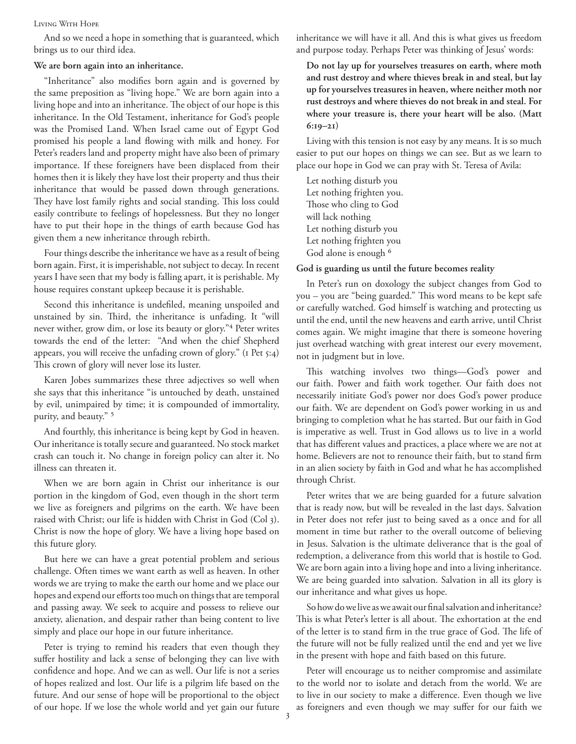#### Living With Hope

And so we need a hope in something that is guaranteed, which brings us to our third idea.

#### **We are born again into an inheritance.**

"Inheritance" also modifies born again and is governed by the same preposition as "living hope." We are born again into a living hope and into an inheritance. The object of our hope is this inheritance. In the Old Testament, inheritance for God's people was the Promised Land. When Israel came out of Egypt God promised his people a land flowing with milk and honey. For Peter's readers land and property might have also been of primary importance. If these foreigners have been displaced from their homes then it is likely they have lost their property and thus their inheritance that would be passed down through generations. They have lost family rights and social standing. This loss could easily contribute to feelings of hopelessness. But they no longer have to put their hope in the things of earth because God has given them a new inheritance through rebirth.

Four things describe the inheritance we have as a result of being born again. First, it is imperishable, not subject to decay. In recent years I have seen that my body is falling apart, it is perishable. My house requires constant upkeep because it is perishable.

Second this inheritance is undefiled, meaning unspoiled and unstained by sin. Third, the inheritance is unfading. It "will never wither, grow dim, or lose its beauty or glory."4 Peter writes towards the end of the letter: "And when the chief Shepherd appears, you will receive the unfading crown of glory." (I Pet 5:4) This crown of glory will never lose its luster.

Karen Jobes summarizes these three adjectives so well when she says that this inheritance "is untouched by death, unstained by evil, unimpaired by time; it is compounded of immortality, purity, and beauty." 5

And fourthly, this inheritance is being kept by God in heaven. Our inheritance is totally secure and guaranteed. No stock market crash can touch it. No change in foreign policy can alter it. No illness can threaten it.

When we are born again in Christ our inheritance is our portion in the kingdom of God, even though in the short term we live as foreigners and pilgrims on the earth. We have been raised with Christ; our life is hidden with Christ in God (Col 3). Christ is now the hope of glory. We have a living hope based on this future glory.

But here we can have a great potential problem and serious challenge. Often times we want earth as well as heaven. In other words we are trying to make the earth our home and we place our hopes and expend our efforts too much on things that are temporal and passing away. We seek to acquire and possess to relieve our anxiety, alienation, and despair rather than being content to live simply and place our hope in our future inheritance.

Peter is trying to remind his readers that even though they suffer hostility and lack a sense of belonging they can live with confidence and hope. And we can as well. Our life is not a series of hopes realized and lost. Our life is a pilgrim life based on the future. And our sense of hope will be proportional to the object of our hope. If we lose the whole world and yet gain our future inheritance we will have it all. And this is what gives us freedom and purpose today. Perhaps Peter was thinking of Jesus' words:

**Do not lay up for yourselves treasures on earth, where moth and rust destroy and where thieves break in and steal, but lay up for yourselves treasures in heaven, where neither moth nor rust destroys and where thieves do not break in and steal. For where your treasure is, there your heart will be also. (Matt 6:19–21)**

Living with this tension is not easy by any means. It is so much easier to put our hopes on things we can see. But as we learn to place our hope in God we can pray with St. Teresa of Avila:

Let nothing disturb you Let nothing frighten you. Those who cling to God will lack nothing Let nothing disturb you Let nothing frighten you God alone is enough <sup>6</sup>

### **God is guarding us until the future becomes reality**

In Peter's run on doxology the subject changes from God to you – you are "being guarded." This word means to be kept safe or carefully watched. God himself is watching and protecting us until the end, until the new heavens and earth arrive, until Christ comes again. We might imagine that there is someone hovering just overhead watching with great interest our every movement, not in judgment but in love.

This watching involves two things—God's power and our faith. Power and faith work together. Our faith does not necessarily initiate God's power nor does God's power produce our faith. We are dependent on God's power working in us and bringing to completion what he has started. But our faith in God is imperative as well. Trust in God allows us to live in a world that has different values and practices, a place where we are not at home. Believers are not to renounce their faith, but to stand firm in an alien society by faith in God and what he has accomplished through Christ.

Peter writes that we are being guarded for a future salvation that is ready now, but will be revealed in the last days. Salvation in Peter does not refer just to being saved as a once and for all moment in time but rather to the overall outcome of believing in Jesus. Salvation is the ultimate deliverance that is the goal of redemption, a deliverance from this world that is hostile to God. We are born again into a living hope and into a living inheritance. We are being guarded into salvation. Salvation in all its glory is our inheritance and what gives us hope.

So how do we live as we await our final salvation and inheritance? This is what Peter's letter is all about. The exhortation at the end of the letter is to stand firm in the true grace of God. The life of the future will not be fully realized until the end and yet we live in the present with hope and faith based on this future.

Peter will encourage us to neither compromise and assimilate to the world nor to isolate and detach from the world. We are to live in our society to make a difference. Even though we live as foreigners and even though we may suffer for our faith we